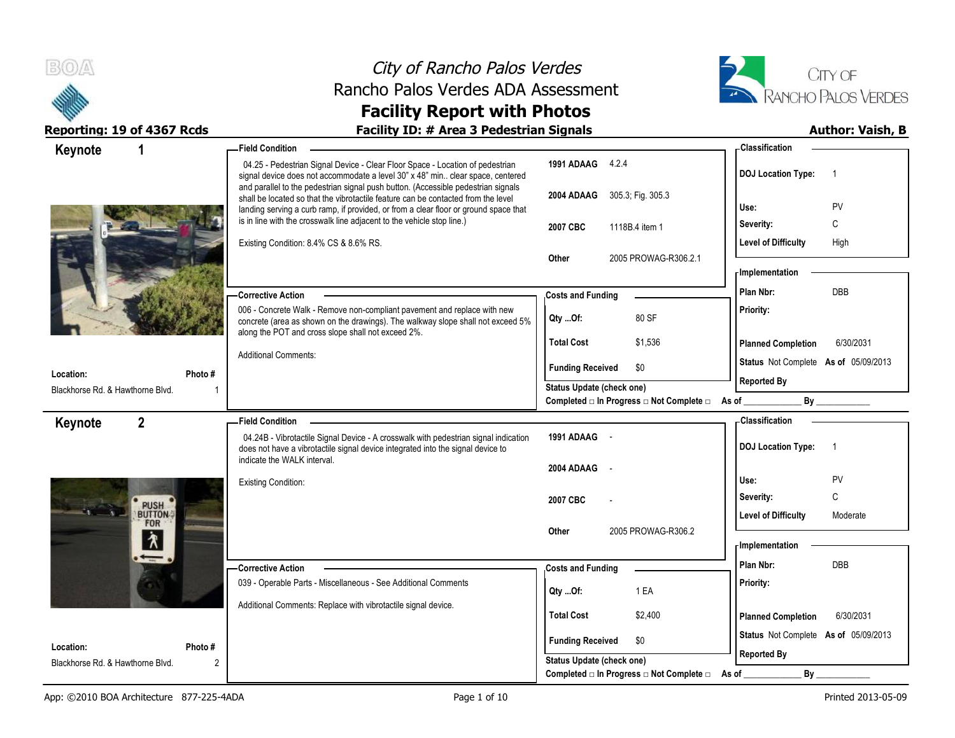



| Keynote                                       | 1                         | -Field Condition                                                                                                                                                                                                                                               |                                                | - Classification                            |
|-----------------------------------------------|---------------------------|----------------------------------------------------------------------------------------------------------------------------------------------------------------------------------------------------------------------------------------------------------------|------------------------------------------------|---------------------------------------------|
|                                               |                           | 04.25 - Pedestrian Signal Device - Clear Floor Space - Location of pedestrian<br>signal device does not accommodate a level 30" x 48" min clear space, centered                                                                                                | 1991 ADAAG 4.2.4                               | <b>DOJ Location Type:</b><br>$\overline{1}$ |
|                                               |                           | and parallel to the pedestrian signal push button. (Accessible pedestrian signals<br>shall be located so that the vibrotactile feature can be contacted from the level<br>landing serving a curb ramp, if provided, or from a clear floor or ground space that | 2004 ADAAG 305.3; Fig. 305.3                   | PV<br>Use:                                  |
|                                               |                           | is in line with the crosswalk line adjacent to the vehicle stop line.)                                                                                                                                                                                         | 2007 CBC<br>1118B.4 item 1                     | С<br>Severity:                              |
|                                               |                           | Existing Condition: 8.4% CS & 8.6% RS.                                                                                                                                                                                                                         |                                                | <b>Level of Difficulty</b><br>High          |
|                                               |                           |                                                                                                                                                                                                                                                                | 2005 PROWAG-R306.2.1<br>Other                  | - Implementation                            |
|                                               |                           |                                                                                                                                                                                                                                                                |                                                | <b>DBB</b><br>Plan Nbr:                     |
|                                               |                           | -Corrective Action<br>006 - Concrete Walk - Remove non-compliant pavement and replace with new                                                                                                                                                                 | <b>Costs and Funding</b>                       | Priority:                                   |
|                                               |                           | concrete (area as shown on the drawings). The walkway slope shall not exceed 5%<br>along the POT and cross slope shall not exceed 2%.                                                                                                                          | 80 SF<br>Qty Of:                               |                                             |
|                                               |                           |                                                                                                                                                                                                                                                                | <b>Total Cost</b><br>\$1,536                   | <b>Planned Completion</b><br>6/30/2031      |
|                                               |                           | <b>Additional Comments:</b>                                                                                                                                                                                                                                    | \$0<br><b>Funding Received</b>                 | Status Not Complete As of 05/09/2013        |
| Location:<br>Blackhorse Rd. & Hawthorne Blvd. | Photo #<br>$\overline{1}$ |                                                                                                                                                                                                                                                                | <b>Status Update (check one)</b>               | <b>Reported By</b>                          |
|                                               |                           |                                                                                                                                                                                                                                                                | Completed □ In Progress □ Not Complete □ As of | By                                          |
| Keynote                                       | $\mathbf{2}$              | - Field Condition -                                                                                                                                                                                                                                            |                                                | - Classification                            |
|                                               |                           | 04.24B - Vibrotactile Signal Device - A crosswalk with pedestrian signal indication<br>does not have a vibrotactile signal device integrated into the signal device to                                                                                         | 1991 ADAAG -                                   | <b>DOJ Location Type:</b><br>$\overline{1}$ |
|                                               |                           | indicate the WALK interval.                                                                                                                                                                                                                                    |                                                |                                             |
|                                               |                           |                                                                                                                                                                                                                                                                | $\sim$ $-$                                     |                                             |
|                                               |                           | <b>Existing Condition:</b>                                                                                                                                                                                                                                     | 2004 ADAAG                                     | Use:<br>PV                                  |
|                                               |                           |                                                                                                                                                                                                                                                                | 2007 CBC                                       | C<br>Severity:                              |
|                                               | PUSH<br>FOR               |                                                                                                                                                                                                                                                                |                                                | <b>Level of Difficulty</b><br>Moderate      |
|                                               |                           |                                                                                                                                                                                                                                                                | 2005 PROWAG-R306.2<br><b>Other</b>             |                                             |
|                                               | $\lambda$                 |                                                                                                                                                                                                                                                                |                                                | <b>Implementation</b>                       |
|                                               |                           | -Corrective Action                                                                                                                                                                                                                                             | <b>Costs and Funding</b>                       | Plan Nbr:<br>DBB                            |
|                                               |                           | 039 - Operable Parts - Miscellaneous - See Additional Comments                                                                                                                                                                                                 | 1 EA<br>Qty Of:                                | Priority:                                   |
|                                               |                           | Additional Comments: Replace with vibrotactile signal device.                                                                                                                                                                                                  | <b>Total Cost</b><br>\$2,400                   | 6/30/2031<br><b>Planned Completion</b>      |
|                                               |                           |                                                                                                                                                                                                                                                                | <b>Funding Received</b><br>\$0                 | Status Not Complete As of 05/09/2013        |
| Location:<br>Blackhorse Rd. & Hawthorne Blvd. | Photo#<br>2               |                                                                                                                                                                                                                                                                | <b>Status Update (check one)</b>               | <b>Reported By</b>                          |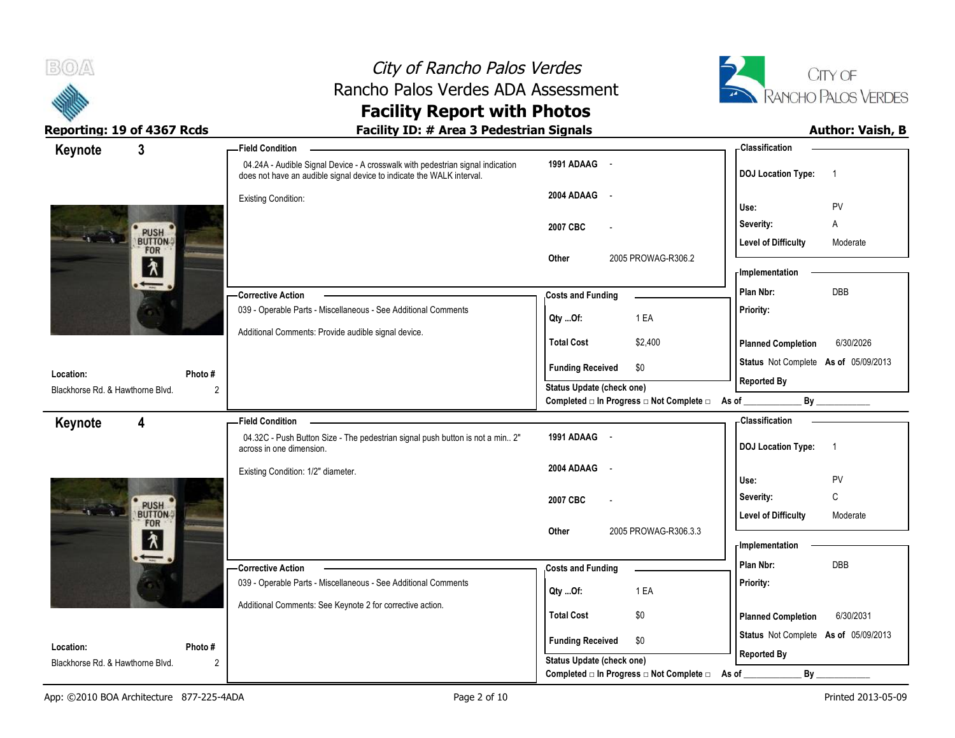



| $\mathbf{3}$<br>Keynote                            |                | - Field Condition                                                                                                                                       |                                                                                      | - Classification                                           |
|----------------------------------------------------|----------------|---------------------------------------------------------------------------------------------------------------------------------------------------------|--------------------------------------------------------------------------------------|------------------------------------------------------------|
|                                                    |                | 04.24A - Audible Signal Device - A crosswalk with pedestrian signal indication<br>does not have an audible signal device to indicate the WALK interval. | 1991 ADAAG -                                                                         | <b>DOJ Location Type:</b><br>$\overline{1}$                |
|                                                    |                | <b>Existing Condition:</b>                                                                                                                              | 2004 ADAAG<br>$\sim$ $-$                                                             | PV<br>Use:                                                 |
|                                                    |                |                                                                                                                                                         | 2007 CBC                                                                             | Severity:<br>Α                                             |
| PUSH<br>BUTTON                                     |                |                                                                                                                                                         |                                                                                      | <b>Level of Difficulty</b><br>Moderate                     |
| $\frac{1}{\lambda}$                                |                |                                                                                                                                                         | 2005 PROWAG-R306.2<br>Other                                                          | - Implementation                                           |
| $\overline{\phantom{0}}$                           |                | -Corrective Action                                                                                                                                      | <b>Costs and Funding</b>                                                             | DBB<br>Plan Nbr:                                           |
|                                                    |                | 039 - Operable Parts - Miscellaneous - See Additional Comments                                                                                          | 1 EA<br>Qty Of:                                                                      | Priority:                                                  |
|                                                    |                | Additional Comments: Provide audible signal device.                                                                                                     |                                                                                      |                                                            |
|                                                    |                |                                                                                                                                                         | <b>Total Cost</b><br>\$2,400                                                         | <b>Planned Completion</b><br>6/30/2026                     |
| Location:                                          | Photo#         |                                                                                                                                                         | <b>Funding Received</b><br>\$0                                                       | Status Not Complete As of 05/09/2013<br><b>Reported By</b> |
| Blackhorse Rd. & Hawthorne Blvd.                   | $\overline{2}$ |                                                                                                                                                         | <b>Status Update (check one)</b><br>Completed □ In Progress □ Not Complete □ As of _ | By                                                         |
| 4<br>Keynote                                       |                | <b>Field Condition</b>                                                                                                                                  |                                                                                      | - Classification                                           |
|                                                    |                | 04.32C - Push Button Size - The pedestrian signal push button is not a min 2"<br>across in one dimension.                                               | 1991 ADAAG -                                                                         | <b>DOJ Location Type:</b><br>$\overline{1}$                |
|                                                    |                |                                                                                                                                                         | 2004 ADAAG<br>$\sim$ $\sim$                                                          |                                                            |
|                                                    |                | Existing Condition: 1/2" diameter.                                                                                                                      |                                                                                      |                                                            |
|                                                    |                |                                                                                                                                                         |                                                                                      | Use:<br>PV<br>$\mathsf{C}$                                 |
|                                                    |                |                                                                                                                                                         | 2007 CBC                                                                             | Severity:<br><b>Level of Difficulty</b><br>Moderate        |
| PUSH<br>BUTTON                                     |                |                                                                                                                                                         | 2005 PROWAG-R306.3.3<br>Other                                                        |                                                            |
| $\overline{\lambda}$<br>$\overline{\phantom{0}}$ . |                |                                                                                                                                                         |                                                                                      | <b>Implementation</b>                                      |
|                                                    |                | -Corrective Action                                                                                                                                      | <b>Costs and Funding</b>                                                             | Plan Nbr:<br><b>DBB</b>                                    |
|                                                    |                | 039 - Operable Parts - Miscellaneous - See Additional Comments                                                                                          | 1 EA<br>Qty Of:                                                                      | Priority:                                                  |
|                                                    |                | Additional Comments: See Keynote 2 for corrective action.                                                                                               | <b>Total Cost</b><br>\$0                                                             | <b>Planned Completion</b><br>6/30/2031                     |
| Location:                                          | Photo #        |                                                                                                                                                         | <b>Funding Received</b><br>\$0                                                       | Status Not Complete As of 05/09/2013                       |
| Blackhorse Rd. & Hawthorne Blvd.                   | $\overline{2}$ |                                                                                                                                                         | Status Update (check one)<br>Completed □ In Progress □ Not Complete □                | <b>Reported By</b><br>By<br>As of                          |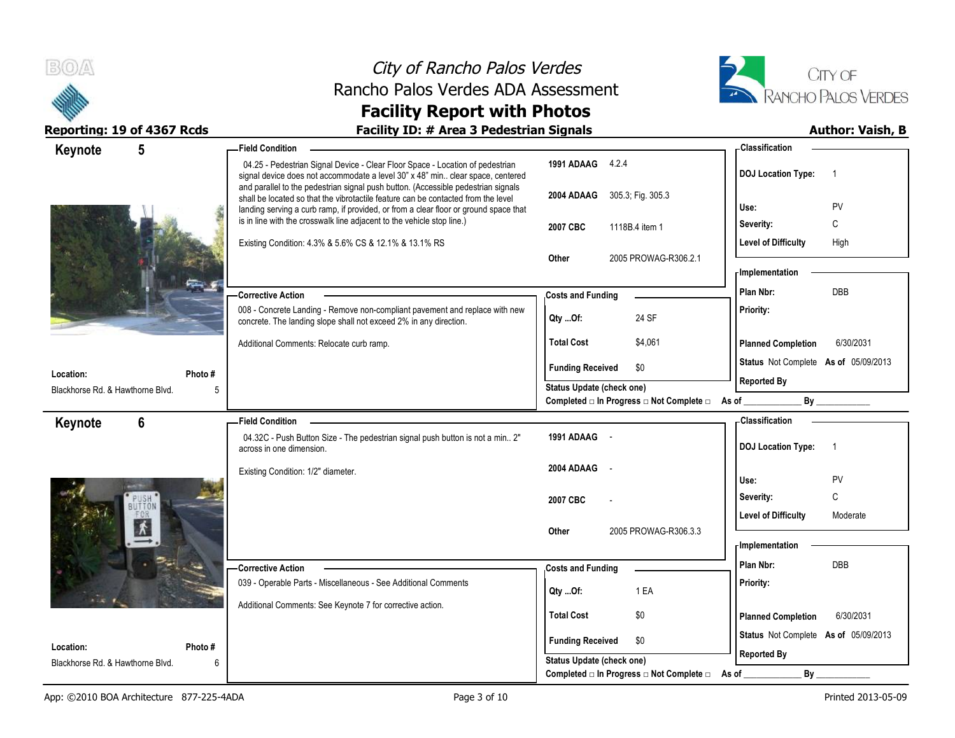



| 5<br>Keynote                                  | <b>Field Condition</b>                                                                                                                                                                                                                                         |                                                                                    | - Classification                            |
|-----------------------------------------------|----------------------------------------------------------------------------------------------------------------------------------------------------------------------------------------------------------------------------------------------------------------|------------------------------------------------------------------------------------|---------------------------------------------|
|                                               | 04.25 - Pedestrian Signal Device - Clear Floor Space - Location of pedestrian<br>signal device does not accommodate a level 30" x 48" min clear space, centered                                                                                                | 1991 ADAAG 4.2.4                                                                   | <b>DOJ</b> Location Type:<br>- 1            |
|                                               | and parallel to the pedestrian signal push button. (Accessible pedestrian signals<br>shall be located so that the vibrotactile feature can be contacted from the level<br>landing serving a curb ramp, if provided, or from a clear floor or ground space that | 2004 ADAAG 305.3; Fig. 305.3                                                       | PV<br>Use:                                  |
|                                               | is in line with the crosswalk line adjacent to the vehicle stop line.)<br>Existing Condition: 4.3% & 5.6% CS & 12.1% & 13.1% RS                                                                                                                                | 1118B.4 item 1<br>2007 CBC                                                         | Severity:<br>C                              |
|                                               |                                                                                                                                                                                                                                                                |                                                                                    | <b>Level of Difficulty</b><br>High          |
|                                               |                                                                                                                                                                                                                                                                | Other<br>2005 PROWAG-R306.2.1                                                      |                                             |
|                                               |                                                                                                                                                                                                                                                                |                                                                                    | - Implementation                            |
|                                               | <b>Corrective Action</b>                                                                                                                                                                                                                                       | <b>Costs and Funding</b>                                                           | DBB<br>Plan Nbr:                            |
|                                               | 008 - Concrete Landing - Remove non-compliant pavement and replace with new<br>concrete. The landing slope shall not exceed 2% in any direction.                                                                                                               | 24 SF<br>Qty Of:                                                                   | Priority:                                   |
|                                               | Additional Comments: Relocate curb ramp.                                                                                                                                                                                                                       | <b>Total Cost</b><br>\$4,061                                                       | <b>Planned Completion</b><br>6/30/2031      |
|                                               |                                                                                                                                                                                                                                                                | <b>Funding Received</b><br>\$0                                                     | Status Not Complete As of 05/09/2013        |
| Location:<br>Blackhorse Rd. & Hawthorne Blvd. | Photo #<br>5                                                                                                                                                                                                                                                   | <b>Status Update (check one)</b>                                                   | <b>Reported By</b>                          |
|                                               |                                                                                                                                                                                                                                                                | Completed □ In Progress □ Not Complete □ As of _________                           | By                                          |
| 6<br>Keynote                                  | - Field Condition                                                                                                                                                                                                                                              |                                                                                    | - Classification                            |
|                                               | 04.32C - Push Button Size - The pedestrian signal push button is not a min 2"<br>across in one dimension.                                                                                                                                                      | 1991 ADAAG -                                                                       | <b>DOJ Location Type:</b><br>$\overline{1}$ |
|                                               | Existing Condition: 1/2" diameter.                                                                                                                                                                                                                             | 2004 ADAAG                                                                         |                                             |
|                                               |                                                                                                                                                                                                                                                                |                                                                                    |                                             |
|                                               |                                                                                                                                                                                                                                                                |                                                                                    | Use:<br>PV                                  |
|                                               |                                                                                                                                                                                                                                                                | 2007 CBC                                                                           | $\mathsf C$<br>Severity:                    |
|                                               |                                                                                                                                                                                                                                                                | 2005 PROWAG-R306.3.3<br>Other                                                      | Level of Difficulty<br>Moderate             |
|                                               |                                                                                                                                                                                                                                                                |                                                                                    | - Implementation                            |
|                                               | -Corrective Action                                                                                                                                                                                                                                             | <b>Costs and Funding</b>                                                           | Plan Nbr:<br>DBB                            |
|                                               | 039 - Operable Parts - Miscellaneous - See Additional Comments                                                                                                                                                                                                 |                                                                                    | Priority:                                   |
|                                               | Additional Comments: See Keynote 7 for corrective action.                                                                                                                                                                                                      | 1 EA<br>$Qty$ Of:                                                                  |                                             |
|                                               |                                                                                                                                                                                                                                                                | <b>Total Cost</b><br>\$0                                                           | 6/30/2031<br><b>Planned Completion</b>      |
| Location:                                     | Photo#                                                                                                                                                                                                                                                         | <b>Funding Received</b><br>\$0                                                     | Status Not Complete As of 05/09/2013        |
| Blackhorse Rd. & Hawthorne Blvd.              | 6                                                                                                                                                                                                                                                              | <b>Status Update (check one)</b><br>Completed □ In Progress □ Not Complete □ As of | <b>Reported By</b><br>By                    |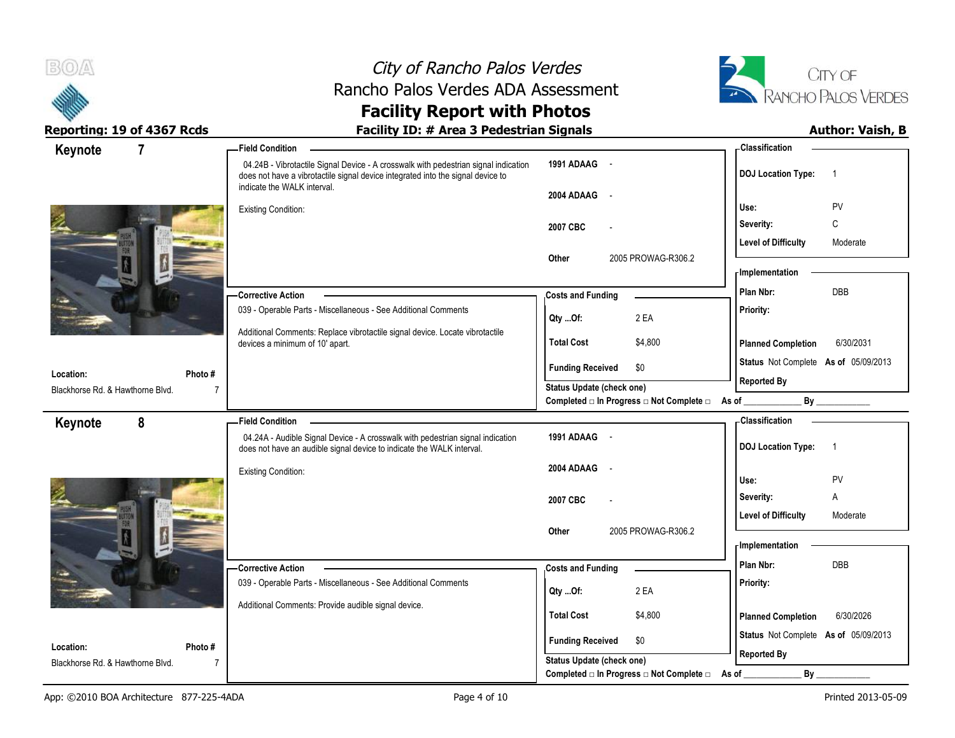



## Reporting: 19 of 4367 Rcds **Facility ID: # Area 3 Pedestrian Signals Facility ID: # Area 3 Pedestrian Signals Author: Vaish, B**

| Keynote                                       | 7              | <b>Field Condition</b>                                                                                                                                                                                |                                                             | <b>Classification</b>                       |
|-----------------------------------------------|----------------|-------------------------------------------------------------------------------------------------------------------------------------------------------------------------------------------------------|-------------------------------------------------------------|---------------------------------------------|
|                                               |                | 04.24B - Vibrotactile Signal Device - A crosswalk with pedestrian signal indication<br>does not have a vibrotactile signal device integrated into the signal device to<br>indicate the WALK interval. | 1991 ADAAG -                                                | <b>DOJ</b> Location Type:<br>$\overline{1}$ |
|                                               |                |                                                                                                                                                                                                       | 2004 ADAAG -                                                |                                             |
|                                               |                | <b>Existing Condition:</b>                                                                                                                                                                            |                                                             | Use:<br>PV                                  |
|                                               |                |                                                                                                                                                                                                       | 2007 CBC                                                    | C<br>Severity:                              |
|                                               |                |                                                                                                                                                                                                       | 2005 PROWAG-R306.2                                          | <b>Level of Difficulty</b><br>Moderate      |
|                                               |                |                                                                                                                                                                                                       | Other                                                       | - Implementation                            |
|                                               |                | <b>Corrective Action</b>                                                                                                                                                                              | <b>Costs and Funding</b>                                    | DBB<br>Plan Nbr:                            |
|                                               |                | 039 - Operable Parts - Miscellaneous - See Additional Comments                                                                                                                                        | 2 EA<br>Qty Of:                                             | Priority:                                   |
|                                               |                | Additional Comments: Replace vibrotactile signal device. Locate vibrotactile                                                                                                                          |                                                             |                                             |
|                                               |                | devices a minimum of 10' apart.                                                                                                                                                                       | <b>Total Cost</b><br>\$4,800                                | 6/30/2031<br><b>Planned Completion</b>      |
| Location:                                     | Photo #        |                                                                                                                                                                                                       | <b>Funding Received</b><br>\$0                              | Status Not Complete As of 05/09/2013        |
| Blackhorse Rd. & Hawthorne Blvd.              | $\overline{7}$ |                                                                                                                                                                                                       | Status Update (check one)                                   | <b>Reported By</b>                          |
|                                               |                |                                                                                                                                                                                                       | Completed □ In Progress □ Not Complete □ As of _            | By                                          |
| Keynote                                       | 8              | <b>Field Condition</b>                                                                                                                                                                                |                                                             | - Classification                            |
|                                               |                | 04.24A - Audible Signal Device - A crosswalk with pedestrian signal indication<br>does not have an audible signal device to indicate the WALK interval.                                               | 1991 ADAAG -                                                | <b>DOJ</b> Location Type:<br>$\overline{1}$ |
|                                               |                |                                                                                                                                                                                                       |                                                             |                                             |
|                                               |                | <b>Existing Condition:</b>                                                                                                                                                                            | 2004 ADAAG -                                                |                                             |
|                                               |                |                                                                                                                                                                                                       |                                                             | PV<br>Use:                                  |
|                                               |                |                                                                                                                                                                                                       | 2007 CBC                                                    | Severity:<br>Α                              |
|                                               |                |                                                                                                                                                                                                       |                                                             | <b>Level of Difficulty</b><br>Moderate      |
|                                               |                |                                                                                                                                                                                                       | 2005 PROWAG-R306.2<br>Other                                 | - Implementation                            |
|                                               |                |                                                                                                                                                                                                       |                                                             | Plan Nbr:<br><b>DBB</b>                     |
|                                               |                | - Corrective Action<br>039 - Operable Parts - Miscellaneous - See Additional Comments                                                                                                                 | <b>Costs and Funding</b>                                    | Priority:                                   |
|                                               |                |                                                                                                                                                                                                       | 2 EA<br>Qty Of:                                             |                                             |
|                                               |                | Additional Comments: Provide audible signal device.                                                                                                                                                   | <b>Total Cost</b><br>\$4,800                                | 6/30/2026<br><b>Planned Completion</b>      |
|                                               |                |                                                                                                                                                                                                       |                                                             | Status Not Complete As of 05/09/2013        |
| Location:<br>Blackhorse Rd. & Hawthorne Blvd. | Photo#<br>7    |                                                                                                                                                                                                       | <b>Funding Received</b><br>\$0<br>Status Update (check one) | <b>Reported By</b>                          |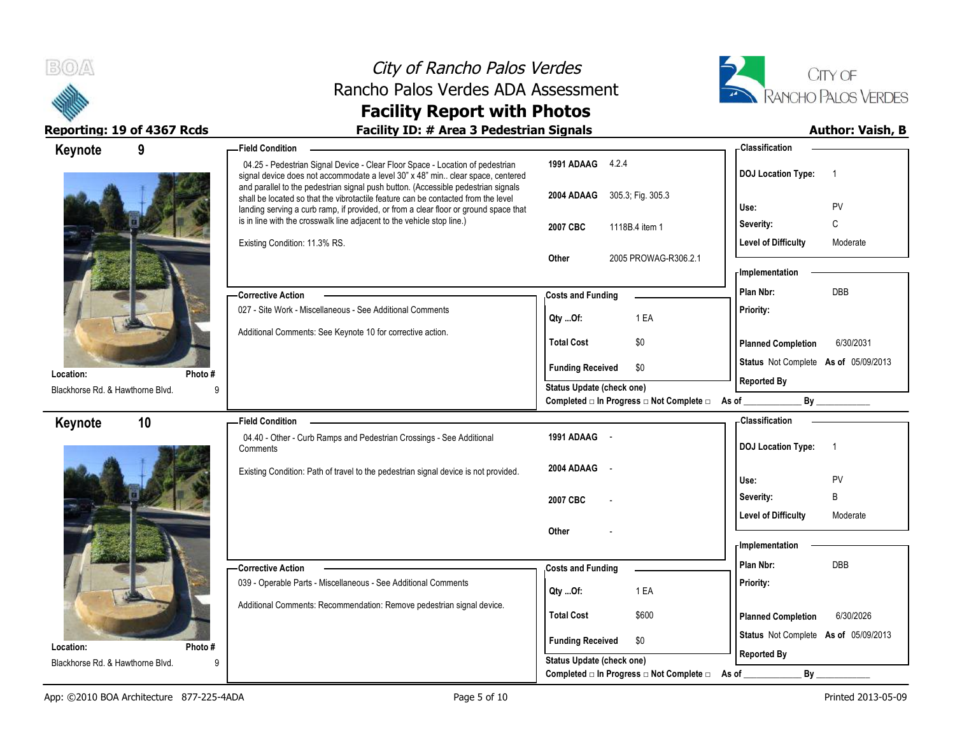



| 9<br>Keynote                          | <b>Field Condition</b>                                                                                                                                                                                                                                                                                                                   |                                                                              | - Classification                            |
|---------------------------------------|------------------------------------------------------------------------------------------------------------------------------------------------------------------------------------------------------------------------------------------------------------------------------------------------------------------------------------------|------------------------------------------------------------------------------|---------------------------------------------|
|                                       | 04.25 - Pedestrian Signal Device - Clear Floor Space - Location of pedestrian<br>signal device does not accommodate a level 30" x 48" min clear space, centered                                                                                                                                                                          | 1991 ADAAG 4.2.4                                                             | <b>DOJ Location Type:</b><br>$\overline{1}$ |
|                                       | and parallel to the pedestrian signal push button. (Accessible pedestrian signals<br>shall be located so that the vibrotactile feature can be contacted from the level<br>landing serving a curb ramp, if provided, or from a clear floor or ground space that<br>is in line with the crosswalk line adjacent to the vehicle stop line.) | 2004 ADAAG 305.3; Fig. 305.3                                                 | PV<br>Use:                                  |
|                                       |                                                                                                                                                                                                                                                                                                                                          | 2007 CBC<br>1118B.4 item 1                                                   | C<br>Severity:                              |
|                                       | Existing Condition: 11.3% RS.                                                                                                                                                                                                                                                                                                            |                                                                              | <b>Level of Difficulty</b><br>Moderate      |
|                                       |                                                                                                                                                                                                                                                                                                                                          | 2005 PROWAG-R306.2.1<br>Other                                                |                                             |
|                                       |                                                                                                                                                                                                                                                                                                                                          |                                                                              | <b>Implementation</b><br>Plan Nbr:<br>DBB   |
|                                       | <b>Corrective Action</b><br>027 - Site Work - Miscellaneous - See Additional Comments                                                                                                                                                                                                                                                    | <b>Costs and Funding</b>                                                     |                                             |
|                                       |                                                                                                                                                                                                                                                                                                                                          | 1 EA<br>Qty Of:                                                              | Priority:                                   |
|                                       | Additional Comments: See Keynote 10 for corrective action.                                                                                                                                                                                                                                                                               | <b>Total Cost</b><br>\$0                                                     | <b>Planned Completion</b><br>6/30/2031      |
|                                       |                                                                                                                                                                                                                                                                                                                                          | <b>Funding Received</b><br>\$0                                               | Status Not Complete As of 05/09/2013        |
| Photo#<br>Location:                   |                                                                                                                                                                                                                                                                                                                                          | Status Update (check one)                                                    | <b>Reported By</b>                          |
| Blackhorse Rd. & Hawthorne Blvd.<br>q |                                                                                                                                                                                                                                                                                                                                          | Completed □ In Progress □ Not Complete □ As of                               | By                                          |
| 10<br>Keynote                         | <b>Field Condition</b>                                                                                                                                                                                                                                                                                                                   |                                                                              | - Classification                            |
|                                       | 04.40 - Other - Curb Ramps and Pedestrian Crossings - See Additional<br>Comments                                                                                                                                                                                                                                                         | 1991 ADAAG -                                                                 | <b>DOJ</b> Location Type:<br>$\overline{1}$ |
|                                       | Existing Condition: Path of travel to the pedestrian signal device is not provided.                                                                                                                                                                                                                                                      | 2004 ADAAG                                                                   | Use:<br>PV                                  |
|                                       |                                                                                                                                                                                                                                                                                                                                          | 2007 CBC                                                                     | B<br>Severity:                              |
|                                       |                                                                                                                                                                                                                                                                                                                                          |                                                                              | <b>Level of Difficulty</b><br>Moderate      |
|                                       |                                                                                                                                                                                                                                                                                                                                          | Other                                                                        | - Implementation                            |
|                                       |                                                                                                                                                                                                                                                                                                                                          |                                                                              |                                             |
|                                       |                                                                                                                                                                                                                                                                                                                                          |                                                                              | Plan Nbr:<br><b>DBB</b>                     |
|                                       | Corrective Action                                                                                                                                                                                                                                                                                                                        | <b>Costs and Funding</b>                                                     |                                             |
|                                       | 039 - Operable Parts - Miscellaneous - See Additional Comments                                                                                                                                                                                                                                                                           | 1 EA<br>Qty Of:                                                              | Priority:                                   |
|                                       | Additional Comments: Recommendation: Remove pedestrian signal device.                                                                                                                                                                                                                                                                    | <b>Total Cost</b><br>\$600                                                   | 6/30/2026<br><b>Planned Completion</b>      |
| Photo#<br>Location:                   |                                                                                                                                                                                                                                                                                                                                          | <b>Funding Received</b><br>\$0                                               | Status Not Complete As of 05/09/2013        |
| Blackhorse Rd. & Hawthorne Blvd.<br>q |                                                                                                                                                                                                                                                                                                                                          | <b>Status Update (check one)</b><br>Completed □ In Progress □ Not Complete □ | <b>Reported By</b><br>$By_$<br>As of        |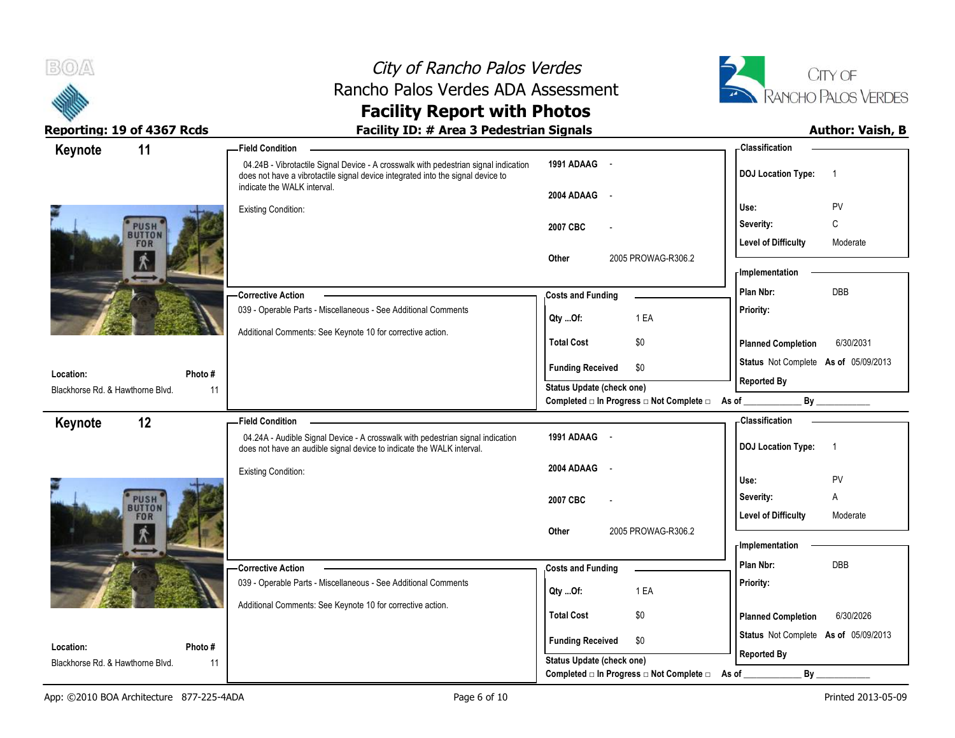

# City of Rancho Palos Verdes Rancho Palos Verdes ADA Assessment



# **Facility Report with Photos** Reporting: 19 of 4367 Rcds **Facility ID: # Area 3 Pedestrian Signals Facility ID: # Area 3 Pedestrian Signals Author: Vaish, B**

| 11<br>Keynote                    | <b>Field Condition</b>     |                                                                                                                                                                                                       |                                  |                                                | - Classification                     |                |
|----------------------------------|----------------------------|-------------------------------------------------------------------------------------------------------------------------------------------------------------------------------------------------------|----------------------------------|------------------------------------------------|--------------------------------------|----------------|
|                                  |                            | 04.24B - Vibrotactile Signal Device - A crosswalk with pedestrian signal indication<br>does not have a vibrotactile signal device integrated into the signal device to<br>indicate the WALK interval. | 1991 ADAAG -                     |                                                | <b>DOJ</b> Location Type:            | $\overline{1}$ |
|                                  |                            |                                                                                                                                                                                                       | 2004 ADAAG<br>$\sim$ $-$         |                                                |                                      |                |
|                                  | <b>Existing Condition:</b> |                                                                                                                                                                                                       |                                  |                                                | Use:                                 | PV             |
| <b>PUSH</b>                      |                            |                                                                                                                                                                                                       | 2007 CBC                         |                                                | Severity:                            | C              |
| <b>FOR</b>                       |                            |                                                                                                                                                                                                       |                                  |                                                | <b>Level of Difficulty</b>           | Moderate       |
| $\Lambda$                        |                            |                                                                                                                                                                                                       | Other                            | 2005 PROWAG-R306.2                             | <b>Implementation</b>                |                |
|                                  |                            |                                                                                                                                                                                                       |                                  |                                                | Plan Nbr:                            | <b>DBB</b>     |
|                                  | -Corrective Action         |                                                                                                                                                                                                       | <b>Costs and Funding</b>         |                                                |                                      |                |
|                                  |                            | 039 - Operable Parts - Miscellaneous - See Additional Comments                                                                                                                                        | Qty Of:                          | 1 EA                                           | Priority:                            |                |
|                                  |                            | Additional Comments: See Keynote 10 for corrective action.                                                                                                                                            | <b>Total Cost</b>                | \$0                                            | <b>Planned Completion</b>            | 6/30/2031      |
| Location:                        | Photo#                     |                                                                                                                                                                                                       | <b>Funding Received</b>          | \$0                                            | Status Not Complete As of 05/09/2013 |                |
| Blackhorse Rd. & Hawthorne Blvd. | 11                         |                                                                                                                                                                                                       | <b>Status Update (check one)</b> |                                                | <b>Reported By</b>                   |                |
|                                  |                            |                                                                                                                                                                                                       |                                  | Completed □ In Progress □ Not Complete □ As of |                                      |                |
| 12<br>Keynote                    | <b>Field Condition</b>     |                                                                                                                                                                                                       |                                  |                                                | - Classification                     |                |
|                                  |                            | 04.24A - Audible Signal Device - A crosswalk with pedestrian signal indication<br>does not have an audible signal device to indicate the WALK interval.                                               | 1991 ADAAG -                     |                                                | <b>DOJ</b> Location Type:            | $\overline{1}$ |
|                                  | <b>Existing Condition:</b> |                                                                                                                                                                                                       | 2004 ADAAG<br>$\sim$             |                                                |                                      |                |
|                                  |                            |                                                                                                                                                                                                       |                                  |                                                | Use:                                 | PV             |
| <b>PUSH</b><br>BUTTON            |                            |                                                                                                                                                                                                       | 2007 CBC                         |                                                | Severity:                            | Α              |
| <b>FOR</b>                       |                            |                                                                                                                                                                                                       |                                  |                                                | <b>Level of Difficulty</b>           | Moderate       |
| $\Lambda$                        |                            |                                                                                                                                                                                                       | Other                            | 2005 PROWAG-R306.2                             |                                      |                |
|                                  |                            |                                                                                                                                                                                                       |                                  |                                                | - Implementation                     |                |
|                                  | -Corrective Action         |                                                                                                                                                                                                       | <b>Costs and Funding</b>         |                                                | Plan Nbr:                            | DBB            |
|                                  |                            | 039 - Operable Parts - Miscellaneous - See Additional Comments                                                                                                                                        | Qty Of:                          | 1 EA                                           | Priority:                            |                |
|                                  |                            | Additional Comments: See Keynote 10 for corrective action.                                                                                                                                            | <b>Total Cost</b>                |                                                |                                      |                |
|                                  |                            |                                                                                                                                                                                                       |                                  | \$0                                            | <b>Planned Completion</b>            | 6/30/2026      |
| Location:                        | Photo#                     |                                                                                                                                                                                                       | <b>Funding Received</b>          | \$0                                            | Status Not Complete As of 05/09/2013 |                |
| Blackhorse Rd. & Hawthorne Blvd. | 11                         |                                                                                                                                                                                                       | <b>Status Update (check one)</b> |                                                | <b>Reported By</b>                   |                |
|                                  |                            |                                                                                                                                                                                                       |                                  | Completed □ In Progress □ Not Complete □       | By<br>As of                          |                |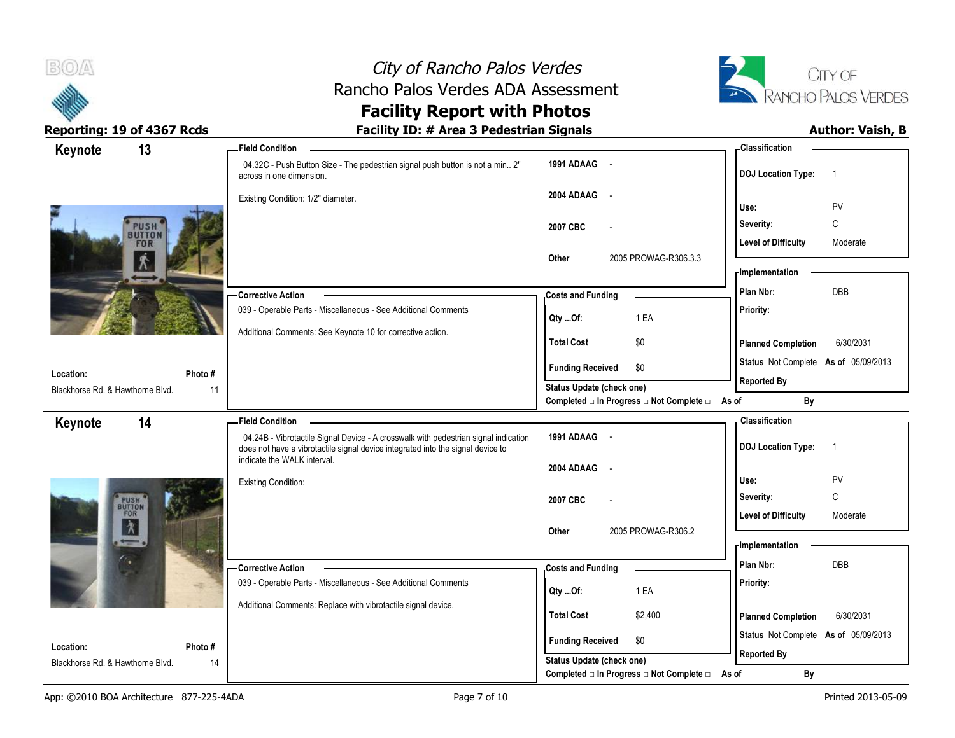



# Reporting: 19 of 4367 Rcds **Facility ID: # Area 3 Pedestrian Signals Facility ID: # Area 3 Pedestrian Signals Author: Vaish, B**

| 13<br>Keynote                          | <b>Field Condition</b>                                                                                                                                                 |                                                                                      | <b>Classification</b>                                      |
|----------------------------------------|------------------------------------------------------------------------------------------------------------------------------------------------------------------------|--------------------------------------------------------------------------------------|------------------------------------------------------------|
|                                        | 04.32C - Push Button Size - The pedestrian signal push button is not a min 2"<br>across in one dimension.                                                              | 1991 ADAAG -                                                                         | <b>DOJ</b> Location Type:<br>$\overline{1}$                |
|                                        | Existing Condition: 1/2" diameter.                                                                                                                                     | 2004 ADAAG -                                                                         | PV<br>Use:                                                 |
| PUSH <sup>'</sup><br>BUTTON            |                                                                                                                                                                        | 2007 CBC                                                                             | $\mathbb C$<br>Severity:<br>Moderate                       |
| <b>FOR</b><br>大                        |                                                                                                                                                                        | 2005 PROWAG-R306.3.3<br>Other                                                        | <b>Level of Difficulty</b><br>- Implementation             |
|                                        | -Corrective Action                                                                                                                                                     | <b>Costs and Funding</b>                                                             | DBB<br>Plan Nbr:                                           |
|                                        | 039 - Operable Parts - Miscellaneous - See Additional Comments                                                                                                         | 1 EA<br>Qty Of:                                                                      | Priority:                                                  |
|                                        | Additional Comments: See Keynote 10 for corrective action.                                                                                                             | <b>Total Cost</b><br>\$0                                                             | <b>Planned Completion</b><br>6/30/2031                     |
| Photo#<br>Location:                    |                                                                                                                                                                        | <b>Funding Received</b><br>\$0                                                       | Status Not Complete As of 05/09/2013                       |
| Blackhorse Rd. & Hawthorne Blvd.<br>11 |                                                                                                                                                                        | <b>Status Update (check one)</b><br>Completed □ In Progress □ Not Complete □ As of _ | <b>Reported By</b><br>By                                   |
| 14<br>Keynote                          | <b>Field Condition</b>                                                                                                                                                 |                                                                                      | - Classification                                           |
|                                        | 04.24B - Vibrotactile Signal Device - A crosswalk with pedestrian signal indication<br>does not have a vibrotactile signal device integrated into the signal device to | 1991 ADAAG -                                                                         | <b>DOJ Location Type:</b><br>$\overline{1}$                |
|                                        |                                                                                                                                                                        |                                                                                      |                                                            |
|                                        | indicate the WALK interval.                                                                                                                                            | 2004 ADAAG<br>$\sim$                                                                 |                                                            |
|                                        | <b>Existing Condition:</b>                                                                                                                                             | 2007 CBC                                                                             | PV<br>Use:<br>C<br>Severity:                               |
| PUSH<br>BUTTON<br>FOR                  |                                                                                                                                                                        |                                                                                      | <b>Level of Difficulty</b><br>Moderate                     |
| $\lambda$                              |                                                                                                                                                                        | 2005 PROWAG-R306.2<br><b>Other</b>                                                   | <b>Implementation</b>                                      |
|                                        | -Corrective Action                                                                                                                                                     | <b>Costs and Funding</b>                                                             | Plan Nbr:<br><b>DBB</b>                                    |
|                                        | 039 - Operable Parts - Miscellaneous - See Additional Comments                                                                                                         | 1 EA<br>Qty Of:                                                                      | Priority:                                                  |
|                                        | Additional Comments: Replace with vibrotactile signal device.                                                                                                          | <b>Total Cost</b><br>\$2,400                                                         | <b>Planned Completion</b><br>6/30/2031                     |
| Location:<br>Photo #                   |                                                                                                                                                                        | <b>Funding Received</b><br>\$0                                                       | Status Not Complete As of 05/09/2013<br><b>Reported By</b> |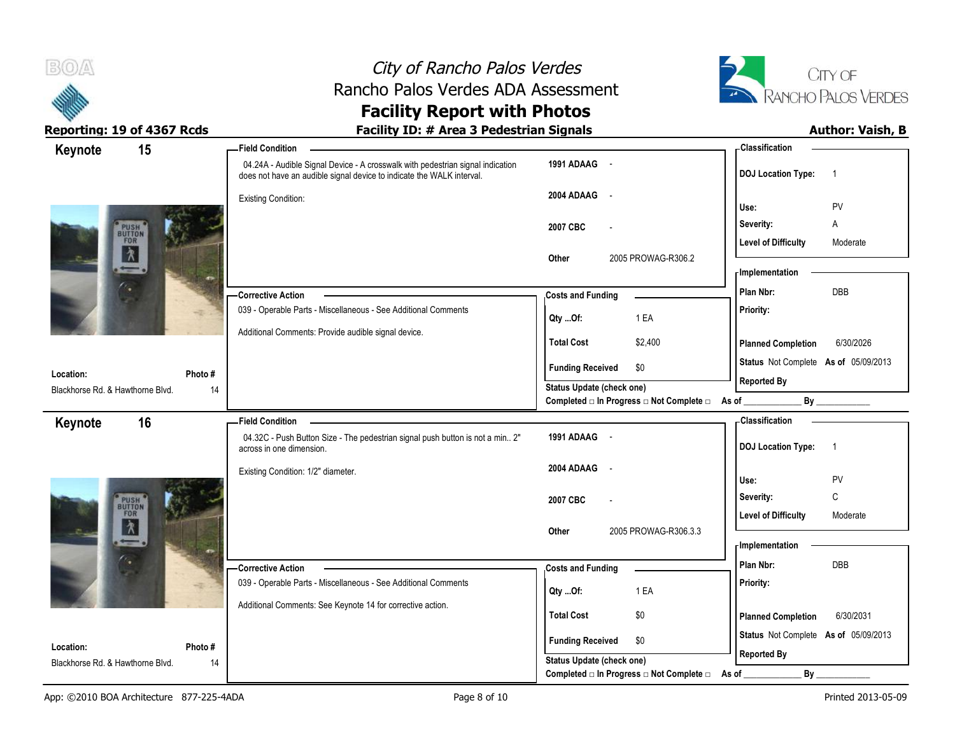



| 15<br>Keynote                                           | -Field Condition                                                                                                                                        |                                                  | - Classification                            |
|---------------------------------------------------------|---------------------------------------------------------------------------------------------------------------------------------------------------------|--------------------------------------------------|---------------------------------------------|
|                                                         | 04.24A - Audible Signal Device - A crosswalk with pedestrian signal indication<br>does not have an audible signal device to indicate the WALK interval. | 1991 ADAAG -                                     | <b>DOJ</b> Location Type:<br>$\overline{1}$ |
|                                                         | <b>Existing Condition:</b>                                                                                                                              | 2004 ADAAG                                       |                                             |
|                                                         |                                                                                                                                                         |                                                  | PV<br>Use:                                  |
| PUSH<br>BUTTON<br>FOR                                   |                                                                                                                                                         | 2007 CBC                                         | Severity:<br>Α                              |
| $\overline{\lambda}$                                    |                                                                                                                                                         |                                                  | <b>Level of Difficulty</b><br>Moderate      |
|                                                         |                                                                                                                                                         | Other<br>2005 PROWAG-R306.2                      | <b>Implementation</b>                       |
| G                                                       |                                                                                                                                                         |                                                  | DBB<br>Plan Nbr:                            |
|                                                         | -Corrective Action<br>039 - Operable Parts - Miscellaneous - See Additional Comments                                                                    | <b>Costs and Funding</b>                         | Priority:                                   |
|                                                         |                                                                                                                                                         | 1 EA<br>Qty Of:                                  |                                             |
|                                                         | Additional Comments: Provide audible signal device.                                                                                                     | <b>Total Cost</b><br>\$2,400                     | <b>Planned Completion</b><br>6/30/2026      |
| Location:<br>Photo#                                     |                                                                                                                                                         | <b>Funding Received</b><br>\$0                   | Status Not Complete As of 05/09/2013        |
| Blackhorse Rd. & Hawthorne Blvd.                        | 14                                                                                                                                                      | <b>Status Update (check one)</b>                 | <b>Reported By</b>                          |
|                                                         |                                                                                                                                                         | Completed □ In Progress □ Not Complete □ As of _ | By                                          |
| 16<br>Keynote                                           | <b>Field Condition</b>                                                                                                                                  |                                                  | - Classification                            |
|                                                         | 04.32C - Push Button Size - The pedestrian signal push button is not a min 2"<br>across in one dimension.                                               | 1991 ADAAG -                                     | <b>DOJ Location Type:</b><br>$\overline{1}$ |
|                                                         | Existing Condition: 1/2" diameter.                                                                                                                      | 2004 ADAAG                                       |                                             |
|                                                         |                                                                                                                                                         |                                                  | PV<br>Use:                                  |
|                                                         |                                                                                                                                                         |                                                  |                                             |
|                                                         |                                                                                                                                                         | 2007 CBC                                         | C<br>Severity:                              |
| PUSH<br>BUTTON<br>FOR                                   |                                                                                                                                                         |                                                  | <b>Level of Difficulty</b><br>Moderate      |
| $\lambda$<br>$\overline{\phantom{0}}$ .                 |                                                                                                                                                         | 2005 PROWAG-R306.3.3<br>Other                    | - Implementation                            |
|                                                         |                                                                                                                                                         |                                                  | Plan Nbr:<br>DBB                            |
|                                                         | <b>Corrective Action</b><br>039 - Operable Parts - Miscellaneous - See Additional Comments                                                              | <b>Costs and Funding</b>                         |                                             |
|                                                         |                                                                                                                                                         | 1 EA<br>Qty Of:                                  | Priority:                                   |
|                                                         | Additional Comments: See Keynote 14 for corrective action.                                                                                              | <b>Total Cost</b><br>\$0                         | 6/30/2031<br><b>Planned Completion</b>      |
|                                                         |                                                                                                                                                         | <b>Funding Received</b><br>\$0                   | Status Not Complete As of 05/09/2013        |
| Location:<br>Photo#<br>Blackhorse Rd. & Hawthorne Blvd. | 14                                                                                                                                                      | Status Update (check one)                        | <b>Reported By</b>                          |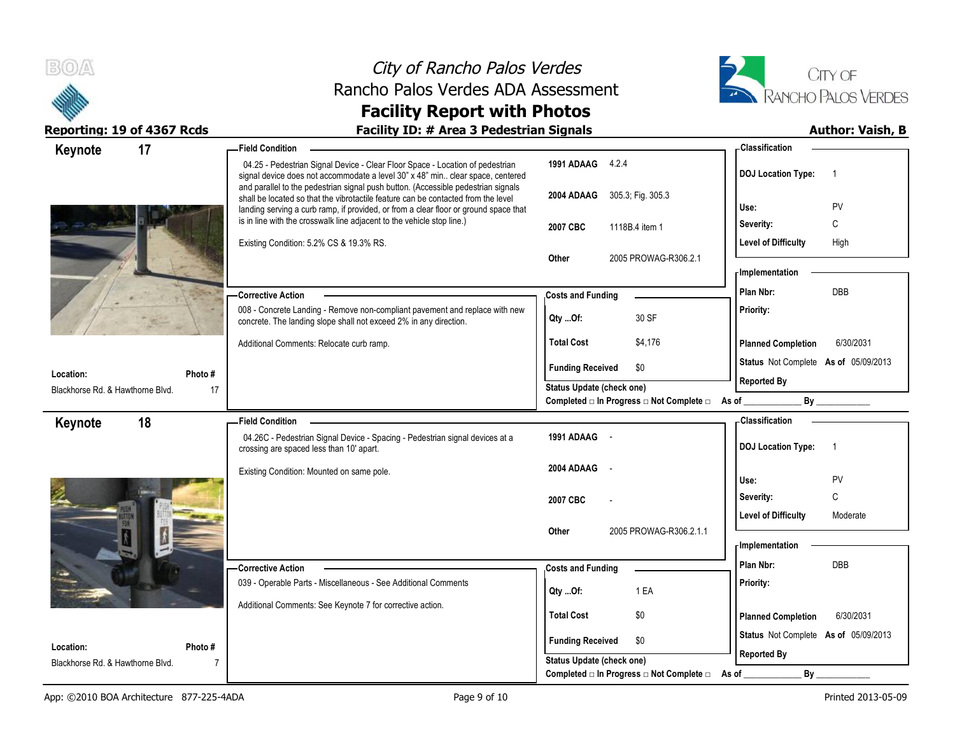



| Keynote                                       | 17            | <b>Field Condition</b>                                                                                                                                                 |                                                                              | - Classification                            |
|-----------------------------------------------|---------------|------------------------------------------------------------------------------------------------------------------------------------------------------------------------|------------------------------------------------------------------------------|---------------------------------------------|
|                                               |               | 04.25 - Pedestrian Signal Device - Clear Floor Space - Location of pedestrian<br>signal device does not accommodate a level 30" x 48" min clear space, centered        | 1991 ADAAG 4.2.4                                                             | <b>DOJ Location Type:</b><br>$\overline{1}$ |
|                                               |               | and parallel to the pedestrian signal push button. (Accessible pedestrian signals<br>shall be located so that the vibrotactile feature can be contacted from the level | 2004 ADAAG 305.3; Fig. 305.3                                                 | PV<br>Use:                                  |
|                                               |               | landing serving a curb ramp, if provided, or from a clear floor or ground space that<br>is in line with the crosswalk line adjacent to the vehicle stop line.)         | 2007 CBC<br>1118B.4 item 1                                                   | Severity:<br>C                              |
|                                               |               | Existing Condition: 5.2% CS & 19.3% RS.                                                                                                                                |                                                                              | <b>Level of Difficulty</b><br>High          |
|                                               |               |                                                                                                                                                                        | Other<br>2005 PROWAG-R306.2.1                                                |                                             |
|                                               |               |                                                                                                                                                                        |                                                                              | - Implementation                            |
|                                               |               | -Corrective Action                                                                                                                                                     | <b>Costs and Funding</b>                                                     | DBB<br>Plan Nbr:                            |
|                                               |               | 008 - Concrete Landing - Remove non-compliant pavement and replace with new<br>concrete. The landing slope shall not exceed 2% in any direction.                       | 30 SF<br>Qty Of:                                                             | Priority:                                   |
|                                               |               | Additional Comments: Relocate curb ramp.                                                                                                                               | <b>Total Cost</b><br>\$4,176                                                 | <b>Planned Completion</b><br>6/30/2031      |
|                                               |               |                                                                                                                                                                        | <b>Funding Received</b><br>\$0                                               | Status Not Complete As of 05/09/2013        |
| Location:<br>Blackhorse Rd. & Hawthorne Blvd. | Photo #<br>17 |                                                                                                                                                                        | <b>Status Update (check one)</b>                                             | <b>Reported By</b>                          |
|                                               |               |                                                                                                                                                                        | Completed □ In Progress □ Not Complete □ As of ________                      | By                                          |
| Keynote                                       | 18            | <b>Field Condition</b>                                                                                                                                                 |                                                                              | - Classification                            |
|                                               |               | 04.26C - Pedestrian Signal Device - Spacing - Pedestrian signal devices at a                                                                                           | 1991 ADAAG -                                                                 | <b>DOJ Location Type:</b><br>$\overline{1}$ |
|                                               |               | crossing are spaced less than 10' apart.                                                                                                                               |                                                                              |                                             |
|                                               |               | Existing Condition: Mounted on same pole.                                                                                                                              | 2004 ADAAG<br>$\sim$                                                         |                                             |
|                                               |               |                                                                                                                                                                        |                                                                              | Use:<br>PV                                  |
|                                               |               |                                                                                                                                                                        | 2007 CBC                                                                     | $\mathsf C$<br>Severity:                    |
|                                               |               |                                                                                                                                                                        | 2005 PROWAG-R306.2.1.1<br>Other                                              | <b>Level of Difficulty</b><br>Moderate      |
|                                               |               |                                                                                                                                                                        |                                                                              | - Implementation                            |
|                                               |               | -Corrective Action                                                                                                                                                     | <b>Costs and Funding</b>                                                     | Plan Nbr:<br>DBB                            |
|                                               |               | 039 - Operable Parts - Miscellaneous - See Additional Comments                                                                                                         |                                                                              | Priority:                                   |
|                                               |               | Additional Comments: See Keynote 7 for corrective action.                                                                                                              | 1 EA<br>Qty Of:                                                              |                                             |
|                                               |               |                                                                                                                                                                        | <b>Total Cost</b><br>\$0                                                     | 6/30/2031<br><b>Planned Completion</b>      |
| Location:                                     | Photo#        |                                                                                                                                                                        | <b>Funding Received</b><br>\$0                                               | Status Not Complete As of 05/09/2013        |
| Blackhorse Rd. & Hawthorne Blvd.              | 7             |                                                                                                                                                                        | <b>Status Update (check one)</b><br>Completed □ In Progress □ Not Complete □ | <b>Reported By</b><br>By                    |